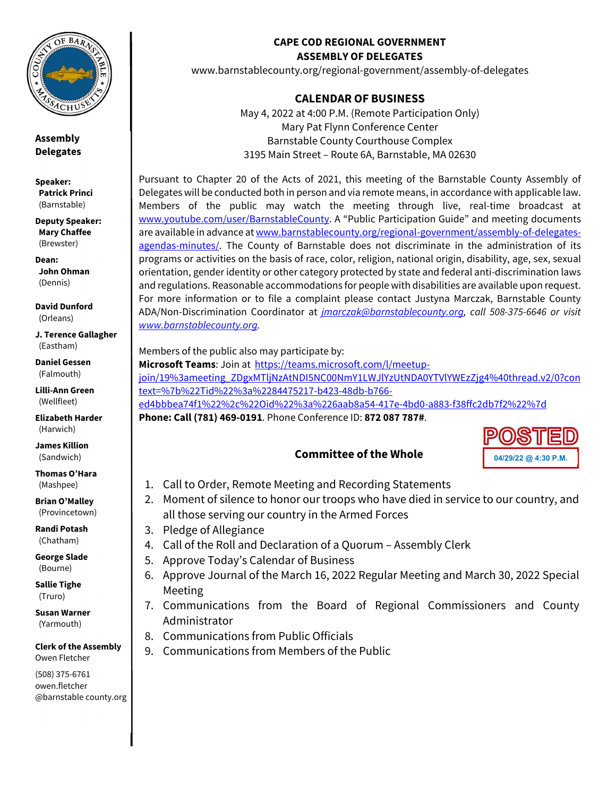

**Assembly Delegates** 

**Speaker: Patrick Princi** (Barnstable)

**Deputy Speaker: Mary Chaffee** (Brewster)

**Dean: John Ohman**  (Dennis)

**David Dunford**  (Orleans)

**J. Terence Gallagher**  (Eastham)

**Daniel Gessen**  (Falmouth)

**Lilli-Ann Green**  (Wellfleet)

**Elizabeth Harder**  (Harwich)

**James Killion**  (Sandwich)

**Thomas O'Hara**  (Mashpee)

**Brian O'Malley**  (Provincetown)

**Randi Potash**  (Chatham)

**George Slade**  (Bourne)

**Sallie Tighe**  (Truro)

**Susan Warner**  (Yarmouth)

**Clerk of the Assembly**  Owen Fletcher

(508) 375-6761 owen.fletcher @barnstable county.org

#### **CAPE COD REGIONAL GOVERNMENT ASSEMBLY OF DELEGATES**

www.barnstablecounty.org/regional-government/assembly-of-delegates

### **CALENDAR OF BUSINESS**

May 4, 2022 at 4:00 P.M. (Remote Participation Only) Mary Pat Flynn Conference Center Barnstable County Courthouse Complex 3195 Main Street – Route 6A, Barnstable, MA 02630

Pursuant to Chapter 20 of the Acts of 2021, this meeting of the Barnstable County Assembly of Delegates will be conducted both in person and via remote means, in accordance with applicable law. Members of the public may watch the meeting through live, real-time broadcast at www.youtube.com/user/BarnstableCounty. A "Public Participation Guide" and meeting documents are available in advance at www.barnstablecounty.org/regional-government/assembly-of-delegatesagendas-minutes/. The County of Barnstable does not discriminate in the administration of its programs or activities on the basis of race, color, religion, national origin, disability, age, sex, sexual orientation, gender identity or other category protected by state and federal anti-discrimination laws and regulations. Reasonable accommodations for people with disabilities are available upon request. For more information or to file a complaint please contact Justyna Marczak, Barnstable County ADA/Non-Discrimination Coordinator at *jmarczak@barnstablecounty.org, call 508-375-6646 or visit www.barnstablecounty.org.*

Members of the public also may participate by:

**Microsoft Teams**: Join at https://teams.microsoft.com/l/meetupjoin/19%3ameeting\_ZDgxMTljNzAtNDI5NC00NmY1LWJlYzUtNDA0YTVlYWEzZjg4%40thread.v2/0?con text=%7b%22Tid%22%3a%2284475217-b423-48db-b766 ed4bbbea74f1%22%2c%22Oid%22%3a%226aab8a54-417e-4bd0-a883-f38ffc2db7f2%22%7d **Phone: Call (781) 469-0191**. Phone Conference ID: **872 087 787#**.

## **Committee of the Whole**



- 1. Call to Order, Remote Meeting and Recording Statements
- 2. Moment of silence to honor our troops who have died in service to our country, and all those serving our country in the Armed Forces
- 3. Pledge of Allegiance
- 4. Call of the Roll and Declaration of a Quorum Assembly Clerk
- 5. Approve Today's Calendar of Business
- 6. Approve Journal of the March 16, 2022 Regular Meeting and March 30, 2022 Special Meeting
- 7. Communications from the Board of Regional Commissioners and County Administrator
- 8. Communications from Public Officials
- 9. Communications from Members of the Public